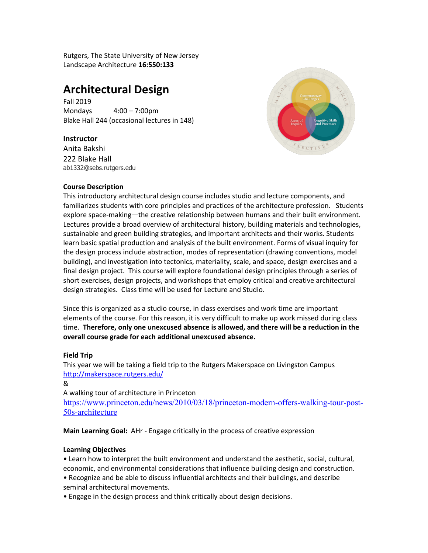Rutgers, The State University of New Jersey Landscape Architecture **16:550:133**

# **Architectural Design**

Fall 2019 Mondays 4:00 – 7:00pm Blake Hall 244 (occasional lectures in 148)

## **Instructor**

Anita Bakshi 222 Blake Hall ab1332@sebs.rutgers.edu



### **Course Description**

This introductory architectural design course includes studio and lecture components, and familiarizes students with core principles and practices of the architecture profession. Students explore space-making—the creative relationship between humans and their built environment. Lectures provide a broad overview of architectural history, building materials and technologies, sustainable and green building strategies, and important architects and their works. Students learn basic spatial production and analysis of the built environment. Forms of visual inquiry for the design process include abstraction, modes of representation (drawing conventions, model building), and investigation into tectonics, materiality, scale, and space, design exercises and a final design project. This course will explore foundational design principles through a series of short exercises, design projects, and workshops that employ critical and creative architectural design strategies. Class time will be used for Lecture and Studio.

Since this is organized as a studio course, in class exercises and work time are important elements of the course. For this reason, it is very difficult to make up work missed during class time. **Therefore, only one unexcused absence is allowed, and there will be a reduction in the overall course grade for each additional unexcused absence.** 

### **Field Trip**

This year we will be taking a field trip to the Rutgers Makerspace on Livingston Campus http://makerspace.rutgers.edu/

A walking tour of architecture in Princeton

https://www.princeton.edu/news/2010/03/18/princeton-modern-offers-walking-tour-post-50s-architecture

**Main Learning Goal:** AHr - Engage critically in the process of creative expression

### **Learning Objectives**

• Learn how to interpret the built environment and understand the aesthetic, social, cultural, economic, and environmental considerations that influence building design and construction.

• Recognize and be able to discuss influential architects and their buildings, and describe seminal architectural movements.

• Engage in the design process and think critically about design decisions.

<sup>&</sup>amp;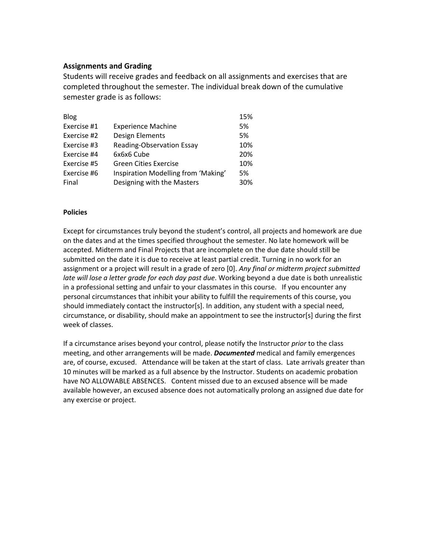## **Assignments and Grading**

Students will receive grades and feedback on all assignments and exercises that are completed throughout the semester. The individual break down of the cumulative semester grade is as follows:

| <b>Blog</b> |                                     | 15% |
|-------------|-------------------------------------|-----|
| Exercise #1 | <b>Experience Machine</b>           | 5%  |
| Exercise #2 | Design Elements                     | 5%  |
| Exercise #3 | <b>Reading-Observation Essay</b>    | 10% |
| Exercise #4 | 6x6x6 Cube                          | 20% |
| Exercise #5 | <b>Green Cities Exercise</b>        | 10% |
| Exercise #6 | Inspiration Modelling from 'Making' | 5%  |
| Final       | Designing with the Masters          | 30% |

#### **Policies**

Except for circumstances truly beyond the student's control, all projects and homework are due on the dates and at the times specified throughout the semester. No late homework will be accepted. Midterm and Final Projects that are incomplete on the due date should still be submitted on the date it is due to receive at least partial credit. Turning in no work for an assignment or a project will result in a grade of zero [0]. *Any final or midterm project submitted late will lose a letter grade for each day past due*. Working beyond a due date is both unrealistic in a professional setting and unfair to your classmates in this course. If you encounter any personal circumstances that inhibit your ability to fulfill the requirements of this course, you should immediately contact the instructor[s]. In addition, any student with a special need, circumstance, or disability, should make an appointment to see the instructor[s] during the first week of classes.

If a circumstance arises beyond your control, please notify the Instructor *prior* to the class meeting, and other arrangements will be made. *Documented* medical and family emergences are, of course, excused. Attendance will be taken at the start of class. Late arrivals greater than 10 minutes will be marked as a full absence by the Instructor. Students on academic probation have NO ALLOWABLE ABSENCES. Content missed due to an excused absence will be made available however, an excused absence does not automatically prolong an assigned due date for any exercise or project.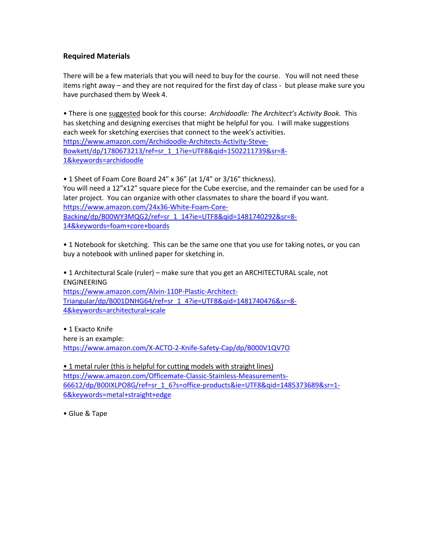# **Required Materials**

There will be a few materials that you will need to buy for the course. You will not need these items right away – and they are not required for the first day of class - but please make sure you have purchased them by Week 4.

• There is one suggested book for this course: *Archidoodle: The Architect's Activity Book.* This has sketching and designing exercises that might be helpful for you. I will make suggestions each week for sketching exercises that connect to the week's activities. https://www.amazon.com/Archidoodle-Architects-Activity-Steve-Bowkett/dp/1780673213/ref=sr\_1\_1?ie=UTF8&qid=1502211739&sr=8- 1&keywords=archidoodle

• 1 Sheet of Foam Core Board 24" x 36" (at 1/4" or 3/16" thickness). You will need a 12"x12" square piece for the Cube exercise, and the remainder can be used for a later project. You can organize with other classmates to share the board if you want. https://www.amazon.com/24x36-White-Foam-Core-Backing/dp/B00WY3MQG2/ref=sr\_1\_14?ie=UTF8&qid=1481740292&sr=8- 14&keywords=foam+core+boards

• 1 Notebook for sketching. This can be the same one that you use for taking notes, or you can buy a notebook with unlined paper for sketching in.

• 1 Architectural Scale (ruler) – make sure that you get an ARCHITECTURAL scale, not ENGINEERING https://www.amazon.com/Alvin-110P-Plastic-Architect-Triangular/dp/B001DNHG64/ref=sr\_1\_4?ie=UTF8&qid=1481740476&sr=8- 4&keywords=architectural+scale

• 1 Exacto Knife here is an example: https://www.amazon.com/X-ACTO-2-Knife-Safety-Cap/dp/B000V1QV7O

• 1 metal ruler (this is helpful for cutting models with straight lines) https://www.amazon.com/Officemate-Classic-Stainless-Measurements-66612/dp/B00IXLPO8G/ref=sr\_1\_6?s=office-products&ie=UTF8&qid=1485373689&sr=1- 6&keywords=metal+straight+edge

• Glue & Tape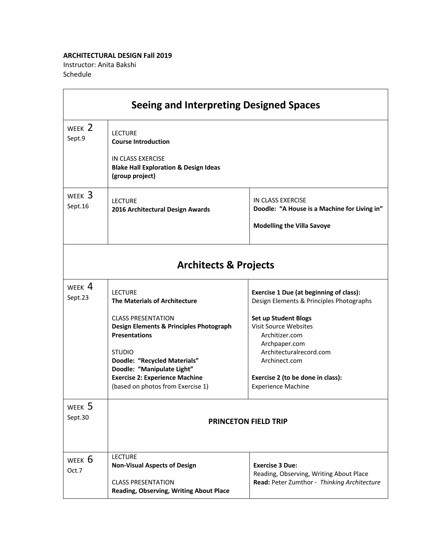#### **ARCHITECTURAL DESIGN Fall 2019**

<u> 1980 - Johann Barnett, fransk politik (</u>

Instructor: Anita Bakshi Schedule

|                     | <b>Seeing and Interpreting Designed Spaces</b>                                                                                                                                                                                                                                                                                 |                                                                                                                                                                                                                                                                                                            |
|---------------------|--------------------------------------------------------------------------------------------------------------------------------------------------------------------------------------------------------------------------------------------------------------------------------------------------------------------------------|------------------------------------------------------------------------------------------------------------------------------------------------------------------------------------------------------------------------------------------------------------------------------------------------------------|
| WEEK 2<br>Sept.9    | <b>LECTURE</b><br><b>Course Introduction</b><br>IN CLASS EXERCISE<br><b>Blake Hall Exploration &amp; Design Ideas</b><br>(group project)                                                                                                                                                                                       |                                                                                                                                                                                                                                                                                                            |
| WEEK $3$<br>Sept.16 | <b>LECTURE</b><br>2016 Architectural Design Awards                                                                                                                                                                                                                                                                             | IN CLASS EXERCISE<br>Doodle: "A House is a Machine for Living in"<br><b>Modelling the Villa Savoye</b>                                                                                                                                                                                                     |
|                     | <b>Architects &amp; Projects</b>                                                                                                                                                                                                                                                                                               |                                                                                                                                                                                                                                                                                                            |
| WEEK $4$<br>Sept.23 | <b>LECTURE</b><br><b>The Materials of Architecture</b><br><b>CLASS PRESENTATION</b><br><b>Design Elements &amp; Principles Photograph</b><br><b>Presentations</b><br><b>STUDIO</b><br>Doodle: "Recycled Materials"<br>Doodle: "Manipulate Light"<br><b>Exercise 2: Experience Machine</b><br>(based on photos from Exercise 1) | <b>Exercise 1 Due (at beginning of class):</b><br>Design Elements & Principles Photographs<br><b>Set up Student Blogs</b><br><b>Visit Source Websites</b><br>Architizer.com<br>Archpaper.com<br>Architecturalrecord.com<br>Archinect.com<br>Exercise 2 (to be done in class):<br><b>Experience Machine</b> |
| WEEK 5<br>Sept.30   |                                                                                                                                                                                                                                                                                                                                | <b>PRINCETON FIELD TRIP</b>                                                                                                                                                                                                                                                                                |
| WEEK 6<br>Oct.7     | <b>LECTURE</b><br><b>Non-Visual Aspects of Design</b><br><b>CLASS PRESENTATION</b><br>Reading, Observing, Writing About Place                                                                                                                                                                                                  | <b>Exercise 3 Due:</b><br>Reading, Observing, Writing About Place<br>Read: Peter Zumthor - Thinking Architecture                                                                                                                                                                                           |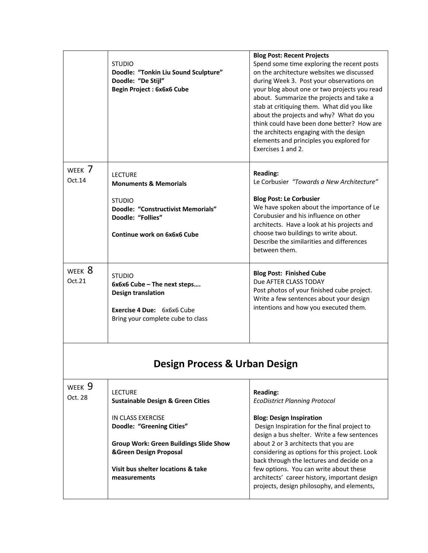|                   | <b>STUDIO</b><br>Doodle: "Tonkin Liu Sound Sculpture"<br>Doodle: "De Stijl"<br><b>Begin Project: 6x6x6 Cube</b>                                                                                                                                                     | <b>Blog Post: Recent Projects</b><br>Spend some time exploring the recent posts<br>on the architecture websites we discussed<br>during Week 3. Post your observations on<br>your blog about one or two projects you read<br>about. Summarize the projects and take a<br>stab at critiquing them. What did you like<br>about the projects and why? What do you<br>think could have been done better? How are<br>the architects engaging with the design<br>elements and principles you explored for<br>Exercises 1 and 2. |
|-------------------|---------------------------------------------------------------------------------------------------------------------------------------------------------------------------------------------------------------------------------------------------------------------|--------------------------------------------------------------------------------------------------------------------------------------------------------------------------------------------------------------------------------------------------------------------------------------------------------------------------------------------------------------------------------------------------------------------------------------------------------------------------------------------------------------------------|
| WEEK 7<br>Oct.14  | <b>LECTURE</b><br><b>Monuments &amp; Memorials</b><br><b>STUDIO</b><br><b>Doodle: "Constructivist Memorials"</b><br>Doodle: "Follies"<br>Continue work on 6x6x6 Cube                                                                                                | <b>Reading:</b><br>Le Corbusier "Towards a New Architecture"<br><b>Blog Post: Le Corbusier</b><br>We have spoken about the importance of Le<br>Corubusier and his influence on other<br>architects. Have a look at his projects and<br>choose two buildings to write about.<br>Describe the similarities and differences<br>between them.                                                                                                                                                                                |
| WEEK 8<br>Oct.21  | <b>STUDIO</b><br>6x6x6 Cube - The next steps<br><b>Design translation</b><br>Exercise 4 Due: 6x6x6 Cube<br>Bring your complete cube to class                                                                                                                        | <b>Blog Post: Finished Cube</b><br>Due AFTER CLASS TODAY<br>Post photos of your finished cube project.<br>Write a few sentences about your design<br>intentions and how you executed them.                                                                                                                                                                                                                                                                                                                               |
|                   | Design Process & Urban Design                                                                                                                                                                                                                                       |                                                                                                                                                                                                                                                                                                                                                                                                                                                                                                                          |
| WEEK 9<br>Oct. 28 | <b>LECTURE</b><br><b>Sustainable Design &amp; Green Cities</b><br>IN CLASS EXERCISE<br><b>Doodle: "Greening Cities"</b><br><b>Group Work: Green Buildings Slide Show</b><br><b>&amp;Green Design Proposal</b><br>Visit bus shelter locations & take<br>measurements | <b>Reading:</b><br><b>EcoDistrict Planning Protocol</b><br><b>Blog: Design Inspiration</b><br>Design Inspiration for the final project to<br>design a bus shelter. Write a few sentences<br>about 2 or 3 architects that you are<br>considering as options for this project. Look<br>back through the lectures and decide on a<br>few options. You can write about these<br>architects' career history, important design<br>projects, design philosophy, and elements,                                                   |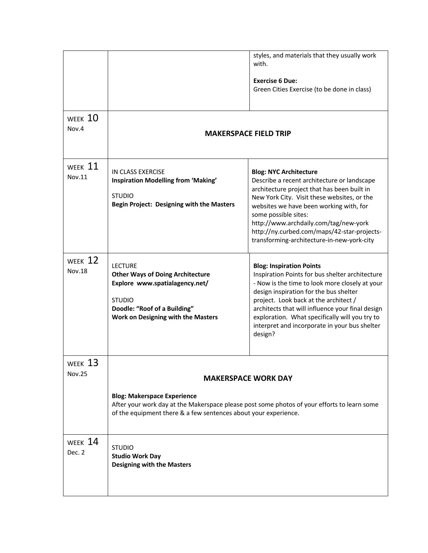| WEEK 10                  |                                                                                                                                                                                                                                    | styles, and materials that they usually work<br>with.<br><b>Exercise 6 Due:</b><br>Green Cities Exercise (to be done in class)                                                                                                                                                                                                                                                            |
|--------------------------|------------------------------------------------------------------------------------------------------------------------------------------------------------------------------------------------------------------------------------|-------------------------------------------------------------------------------------------------------------------------------------------------------------------------------------------------------------------------------------------------------------------------------------------------------------------------------------------------------------------------------------------|
| Nov.4                    | <b>MAKERSPACE FIELD TRIP</b>                                                                                                                                                                                                       |                                                                                                                                                                                                                                                                                                                                                                                           |
| WEEK $11$<br>Nov.11      | <b>IN CLASS EXERCISE</b><br>Inspiration Modelling from 'Making'<br><b>STUDIO</b><br><b>Begin Project: Designing with the Masters</b>                                                                                               | <b>Blog: NYC Architecture</b><br>Describe a recent architecture or landscape<br>architecture project that has been built in<br>New York City. Visit these websites, or the<br>websites we have been working with, for<br>some possible sites:<br>http://www.archdaily.com/tag/new-york<br>http://ny.curbed.com/maps/42-star-projects-<br>transforming-architecture-in-new-york-city       |
| WEEK 12<br><b>Nov.18</b> | <b>LECTURE</b><br><b>Other Ways of Doing Architecture</b><br>Explore www.spatialagency.net/<br><b>STUDIO</b><br>Doodle: "Roof of a Building"<br>Work on Designing with the Masters                                                 | <b>Blog: Inspiration Points</b><br>Inspiration Points for bus shelter architecture<br>- Now is the time to look more closely at your<br>design inspiration for the bus shelter<br>project. Look back at the architect /<br>architects that will influence your final design<br>exploration. What specifically will you try to<br>interpret and incorporate in your bus shelter<br>design? |
| WEEK 13<br><b>Nov.25</b> | <b>MAKERSPACE WORK DAY</b><br><b>Blog: Makerspace Experience</b><br>After your work day at the Makerspace please post some photos of your efforts to learn some<br>of the equipment there & a few sentences about your experience. |                                                                                                                                                                                                                                                                                                                                                                                           |
| WEEK 14<br>Dec. 2        | <b>STUDIO</b><br><b>Studio Work Day</b><br><b>Designing with the Masters</b>                                                                                                                                                       |                                                                                                                                                                                                                                                                                                                                                                                           |